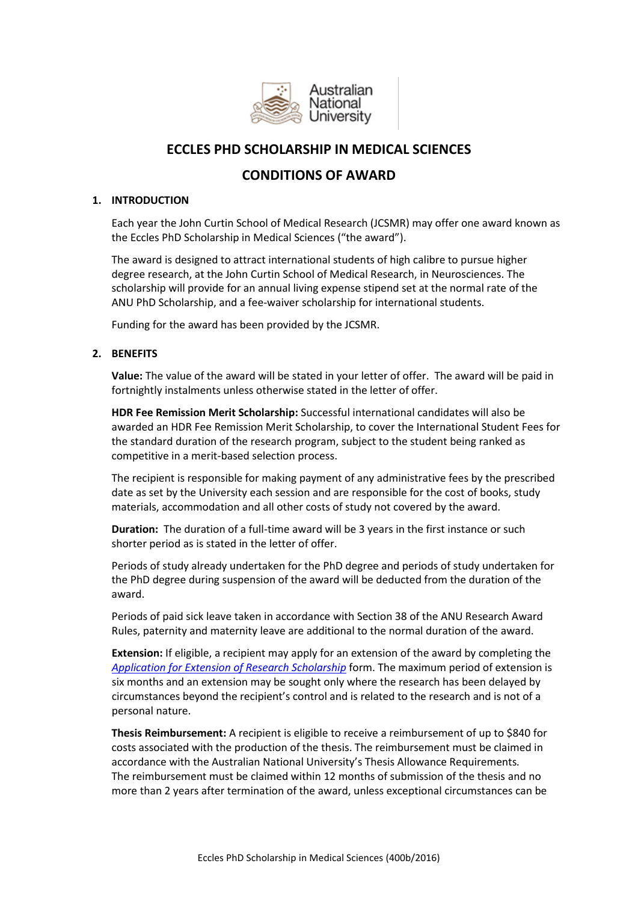

# **ECCLES PHD SCHOLARSHIP IN MEDICAL SCIENCES**

# **CONDITIONS OF AWARD**

# **1. INTRODUCTION**

Each year the John Curtin School of Medical Research (JCSMR) may offer one award known as the Eccles PhD Scholarship in Medical Sciences ("the award").

The award is designed to attract international students of high calibre to pursue higher degree research, at the John Curtin School of Medical Research, in Neurosciences. The scholarship will provide for an annual living expense stipend set at the normal rate of the ANU PhD Scholarship, and a fee-waiver scholarship for international students.

Funding for the award has been provided by the JCSMR.

# **2. BENEFITS**

**Value:** The value of the award will be stated in your letter of offer. The award will be paid in fortnightly instalments unless otherwise stated in the letter of offer.

**HDR Fee Remission Merit Scholarship:** Successful international candidates will also be awarded an HDR Fee Remission Merit Scholarship, to cover the International Student Fees for the standard duration of the research program, subject to the student being ranked as competitive in a merit-based selection process.

The recipient is responsible for making payment of any administrative fees by the prescribed date as set by the University each session and are responsible for the cost of books, study materials, accommodation and all other costs of study not covered by the award.

**Duration:** The duration of a full-time award will be 3 years in the first instance or such shorter period as is stated in the letter of offer.

Periods of study already undertaken for the PhD degree and periods of study undertaken for the PhD degree during suspension of the award will be deducted from the duration of the award.

Periods of paid sick leave taken in accordance with Section 38 of the ANU Research Award Rules, paternity and maternity leave are additional to the normal duration of the award.

**Extension:** If eligible, a recipient may apply for an extension of the award by completing the *[Application for Extension of Research Scholarship](file://///itsfs01.anu.edu.au/DRSS_GROUPS/CADMIN/FEES%20AND%20SCHOLARSHIPS/RESEARCH%20SCHOLARSHIPS/Conditions%20of%20Award/2014/Word%20Versions/IPRS%202014/1.4.1If%20eligible,%20a%20scholar%20may%20apply%20for%20an%20extension%20of%20Scholarship%20by%20completing%20the%20Extension%20of%20Scholarship%20form%20downloadable%20from%20http:/www.anu.edu.au/sas/forms/index.php#Current_Research_Students)* form. The maximum period of extension is six months and an extension may be sought only where the research has been delayed by circumstances beyond the recipient's control and is related to the research and is not of a personal nature.

**Thesis Reimbursement:** A recipient is eligible to receive a reimbursement of up to \$840 for costs associated with the production of the thesis. The reimbursement must be claimed in accordance with the Australian National University's Thesis Allowance Requirements*.* The reimbursement must be claimed within 12 months of submission of the thesis and no more than 2 years after termination of the award, unless exceptional circumstances can be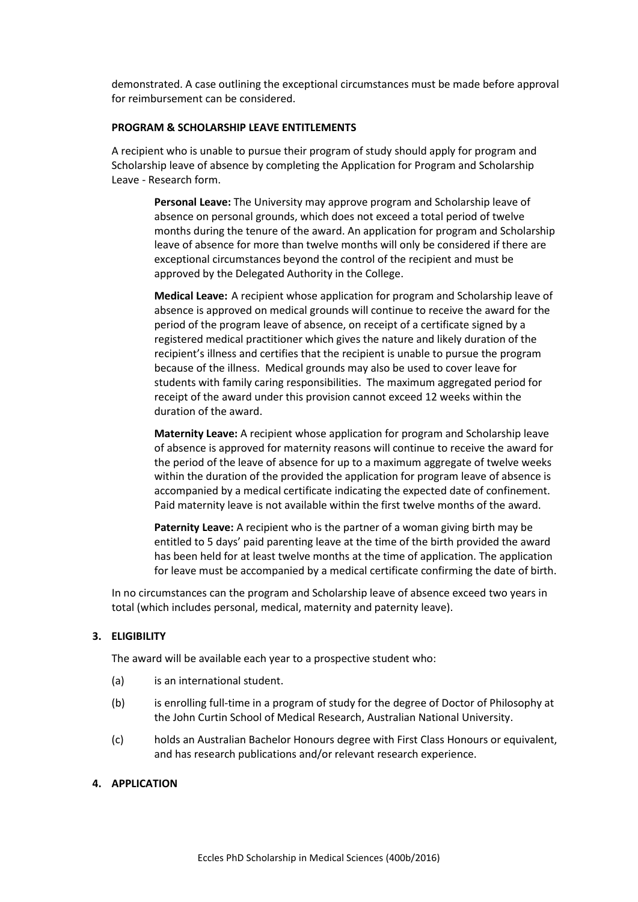demonstrated. A case outlining the exceptional circumstances must be made before approval for reimbursement can be considered.

#### **PROGRAM & SCHOLARSHIP LEAVE ENTITLEMENTS**

A recipient who is unable to pursue their program of study should apply for program and Scholarship leave of absence by completing the Application for Program and Scholarship Leave - Research form.

**Personal Leave:** The University may approve program and Scholarship leave of absence on personal grounds, which does not exceed a total period of twelve months during the tenure of the award. An application for program and Scholarship leave of absence for more than twelve months will only be considered if there are exceptional circumstances beyond the control of the recipient and must be approved by the Delegated Authority in the College.

**Medical Leave:** A recipient whose application for program and Scholarship leave of absence is approved on medical grounds will continue to receive the award for the period of the program leave of absence, on receipt of a certificate signed by a registered medical practitioner which gives the nature and likely duration of the recipient's illness and certifies that the recipient is unable to pursue the program because of the illness. Medical grounds may also be used to cover leave for students with family caring responsibilities. The maximum aggregated period for receipt of the award under this provision cannot exceed 12 weeks within the duration of the award.

**Maternity Leave:** A recipient whose application for program and Scholarship leave of absence is approved for maternity reasons will continue to receive the award for the period of the leave of absence for up to a maximum aggregate of twelve weeks within the duration of the provided the application for program leave of absence is accompanied by a medical certificate indicating the expected date of confinement. Paid maternity leave is not available within the first twelve months of the award.

**Paternity Leave:** A recipient who is the partner of a woman giving birth may be entitled to 5 days' paid parenting leave at the time of the birth provided the award has been held for at least twelve months at the time of application. The application for leave must be accompanied by a medical certificate confirming the date of birth.

In no circumstances can the program and Scholarship leave of absence exceed two years in total (which includes personal, medical, maternity and paternity leave).

## **3. ELIGIBILITY**

The award will be available each year to a prospective student who:

- (a) is an international student.
- (b) is enrolling full-time in a program of study for the degree of Doctor of Philosophy at the John Curtin School of Medical Research, Australian National University.
- (c) holds an Australian Bachelor Honours degree with First Class Honours or equivalent, and has research publications and/or relevant research experience.

#### **4. APPLICATION**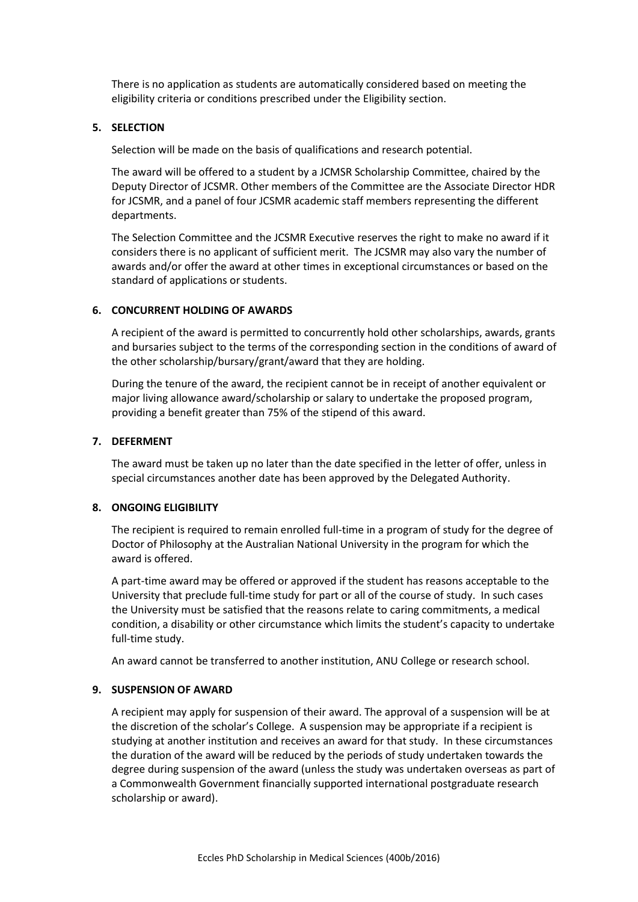There is no application as students are automatically considered based on meeting the eligibility criteria or conditions prescribed under the Eligibility section.

# **5. SELECTION**

Selection will be made on the basis of qualifications and research potential.

The award will be offered to a student by a JCMSR Scholarship Committee, chaired by the Deputy Director of JCSMR. Other members of the Committee are the Associate Director HDR for JCSMR, and a panel of four JCSMR academic staff members representing the different departments.

The Selection Committee and the JCSMR Executive reserves the right to make no award if it considers there is no applicant of sufficient merit. The JCSMR may also vary the number of awards and/or offer the award at other times in exceptional circumstances or based on the standard of applications or students.

## **6. CONCURRENT HOLDING OF AWARDS**

A recipient of the award is permitted to concurrently hold other scholarships, awards, grants and bursaries subject to the terms of the corresponding section in the conditions of award of the other scholarship/bursary/grant/award that they are holding.

During the tenure of the award, the recipient cannot be in receipt of another equivalent or major living allowance award/scholarship or salary to undertake the proposed program, providing a benefit greater than 75% of the stipend of this award.

# **7. DEFERMENT**

The award must be taken up no later than the date specified in the letter of offer, unless in special circumstances another date has been approved by the Delegated Authority.

# **8. ONGOING ELIGIBILITY**

The recipient is required to remain enrolled full-time in a program of study for the degree of Doctor of Philosophy at the Australian National University in the program for which the award is offered.

A part-time award may be offered or approved if the student has reasons acceptable to the University that preclude full-time study for part or all of the course of study. In such cases the University must be satisfied that the reasons relate to caring commitments, a medical condition, a disability or other circumstance which limits the student's capacity to undertake full-time study.

An award cannot be transferred to another institution, ANU College or research school.

# **9. SUSPENSION OF AWARD**

A recipient may apply for suspension of their award. The approval of a suspension will be at the discretion of the scholar's College. A suspension may be appropriate if a recipient is studying at another institution and receives an award for that study. In these circumstances the duration of the award will be reduced by the periods of study undertaken towards the degree during suspension of the award (unless the study was undertaken overseas as part of a Commonwealth Government financially supported international postgraduate research scholarship or award).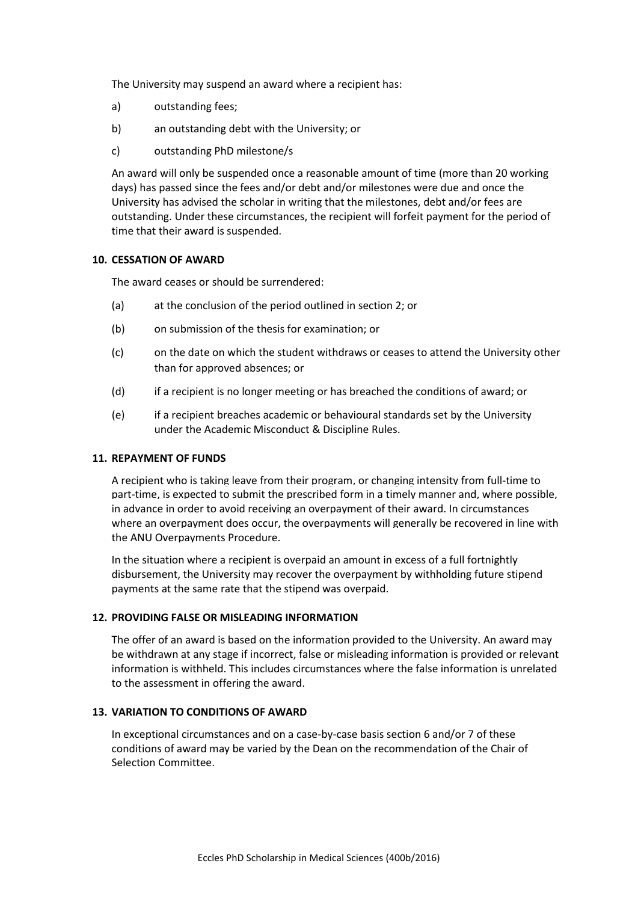The University may suspend an award where a recipient has:

- a) outstanding fees;
- b) an outstanding debt with the University; or
- c) outstanding PhD milestone/s

An award will only be suspended once a reasonable amount of time (more than 20 working days) has passed since the fees and/or debt and/or milestones were due and once the University has advised the scholar in writing that the milestones, debt and/or fees are outstanding. Under these circumstances, the recipient will forfeit payment for the period of time that their award is suspended.

## **10. CESSATION OF AWARD**

The award ceases or should be surrendered:

- (a) at the conclusion of the period outlined in section 2; or
- (b) on submission of the thesis for examination; or
- (c) on the date on which the student withdraws or ceases to attend the University other than for approved absences; or
- (d) if a recipient is no longer meeting or has breached the conditions of award; or
- (e) if a recipient breaches academic or behavioural standards set by the University under the Academic Misconduct & Discipline Rules.

### **11. REPAYMENT OF FUNDS**

A recipient who is taking leave from their program, or changing intensity from full-time to part-time, is expected to submit the prescribed form in a timely manner and, where possible, in advance in order to avoid receiving an overpayment of their award. In circumstances where an overpayment does occur, the overpayments will generally be recovered in line with the ANU Overpayments Procedure.

In the situation where a recipient is overpaid an amount in excess of a full fortnightly disbursement, the University may recover the overpayment by withholding future stipend payments at the same rate that the stipend was overpaid.

### **12. PROVIDING FALSE OR MISLEADING INFORMATION**

The offer of an award is based on the information provided to the University. An award may be withdrawn at any stage if incorrect, false or misleading information is provided or relevant information is withheld. This includes circumstances where the false information is unrelated to the assessment in offering the award.

### **13. VARIATION TO CONDITIONS OF AWARD**

In exceptional circumstances and on a case-by-case basis section 6 and/or 7 of these conditions of award may be varied by the Dean on the recommendation of the Chair of Selection Committee.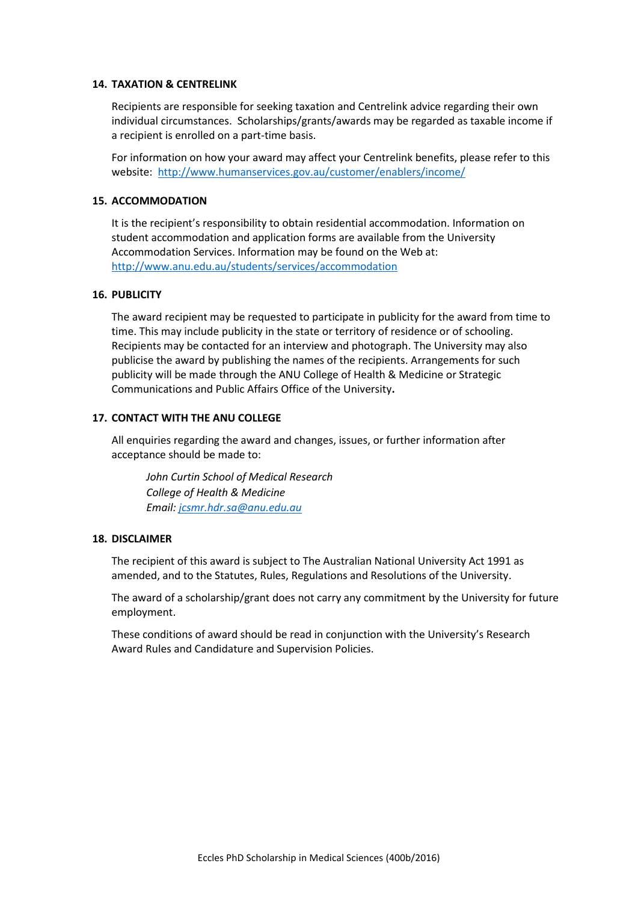## **14. TAXATION & CENTRELINK**

Recipients are responsible for seeking taxation and Centrelink advice regarding their own individual circumstances. Scholarships/grants/awards may be regarded as taxable income if a recipient is enrolled on a part-time basis.

For information on how your award may affect your Centrelink benefits, please refer to this website: <http://www.humanservices.gov.au/customer/enablers/income/>

# **15. ACCOMMODATION**

It is the recipient's responsibility to obtain residential accommodation. Information on student accommodation and application forms are available from the University Accommodation Services. Information may be found on the Web at: <http://www.anu.edu.au/students/services/accommodation>

## **16. PUBLICITY**

The award recipient may be requested to participate in publicity for the award from time to time. This may include publicity in the state or territory of residence or of schooling. Recipients may be contacted for an interview and photograph. The University may also publicise the award by publishing the names of the recipients. Arrangements for such publicity will be made through the ANU College of Health & Medicine or Strategic Communications and Public Affairs Office of the University**.**

## **17. CONTACT WITH THE ANU COLLEGE**

All enquiries regarding the award and changes, issues, or further information after acceptance should be made to:

*John Curtin School of Medical Research College of Health & Medicine Email[: jcsmr.hdr.sa@anu.edu.au](mailto:jcsmr.hdr.sa@anu.edu.au)*

### **18. DISCLAIMER**

The recipient of this award is subject to The Australian National University Act 1991 as amended, and to the Statutes, Rules, Regulations and Resolutions of the University.

The award of a scholarship/grant does not carry any commitment by the University for future employment.

These conditions of award should be read in conjunction with the University's Research Award Rules and Candidature and Supervision Policies.